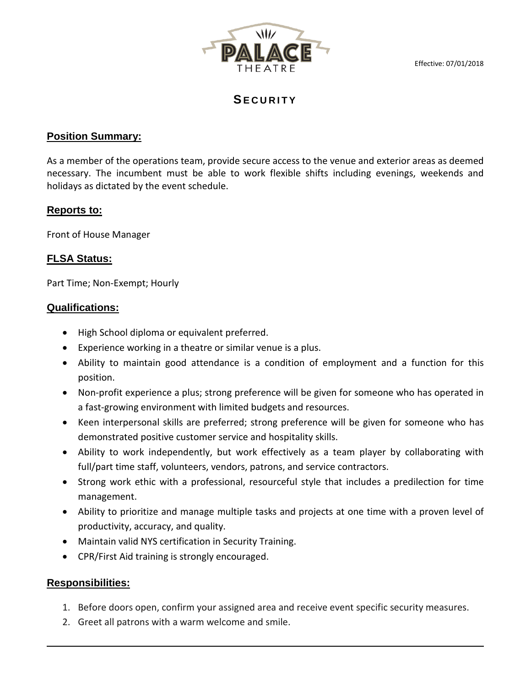Effective: 07/01/2018



# **SECURITY**

### **Position Summary:**

As a member of the operations team, provide secure access to the venue and exterior areas as deemed necessary. The incumbent must be able to work flexible shifts including evenings, weekends and holidays as dictated by the event schedule.

# **Reports to:**

Front of House Manager

# **FLSA Status:**

Part Time; Non-Exempt; Hourly

### **Qualifications:**

- High School diploma or equivalent preferred.
- Experience working in a theatre or similar venue is a plus.
- Ability to maintain good attendance is a condition of employment and a function for this position.
- Non-profit experience a plus; strong preference will be given for someone who has operated in a fast-growing environment with limited budgets and resources.
- Keen interpersonal skills are preferred; strong preference will be given for someone who has demonstrated positive customer service and hospitality skills.
- Ability to work independently, but work effectively as a team player by collaborating with full/part time staff, volunteers, vendors, patrons, and service contractors.
- Strong work ethic with a professional, resourceful style that includes a predilection for time management.
- Ability to prioritize and manage multiple tasks and projects at one time with a proven level of productivity, accuracy, and quality.
- Maintain valid NYS certification in Security Training.
- CPR/First Aid training is strongly encouraged.

### **Responsibilities:**

- 1. Before doors open, confirm your assigned area and receive event specific security measures.
- 2. Greet all patrons with a warm welcome and smile.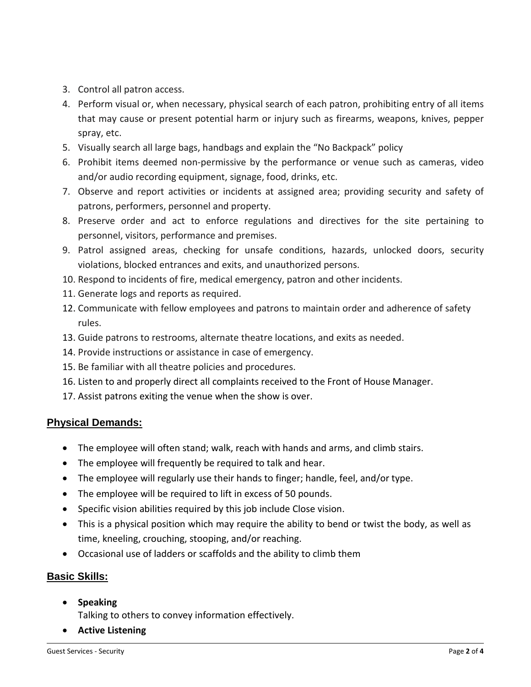- 3. Control all patron access.
- 4. Perform visual or, when necessary, physical search of each patron, prohibiting entry of all items that may cause or present potential harm or injury such as firearms, weapons, knives, pepper spray, etc.
- 5. Visually search all large bags, handbags and explain the "No Backpack" policy
- 6. Prohibit items deemed non-permissive by the performance or venue such as cameras, video and/or audio recording equipment, signage, food, drinks, etc.
- 7. Observe and report activities or incidents at assigned area; providing security and safety of patrons, performers, personnel and property.
- 8. Preserve order and act to enforce regulations and directives for the site pertaining to personnel, visitors, performance and premises.
- 9. Patrol assigned areas, checking for unsafe conditions, hazards, unlocked doors, security violations, blocked entrances and exits, and unauthorized persons.
- 10. Respond to incidents of fire, medical emergency, patron and other incidents.
- 11. Generate logs and reports as required.
- 12. Communicate with fellow employees and patrons to maintain order and adherence of safety rules.
- 13. Guide patrons to restrooms, alternate theatre locations, and exits as needed.
- 14. Provide instructions or assistance in case of emergency.
- 15. Be familiar with all theatre policies and procedures.
- 16. Listen to and properly direct all complaints received to the Front of House Manager.
- 17. Assist patrons exiting the venue when the show is over.

#### **Physical Demands:**

- The employee will often stand; walk, reach with hands and arms, and climb stairs.
- The employee will frequently be required to talk and hear.
- The employee will regularly use their hands to finger; handle, feel, and/or type.
- The employee will be required to lift in excess of 50 pounds.
- Specific vision abilities required by this job include Close vision.
- This is a physical position which may require the ability to bend or twist the body, as well as time, kneeling, crouching, stooping, and/or reaching.
- Occasional use of ladders or scaffolds and the ability to climb them

### **Basic Skills:**

• **Speaking**

Talking to others to convey information effectively.

• **Active Listening**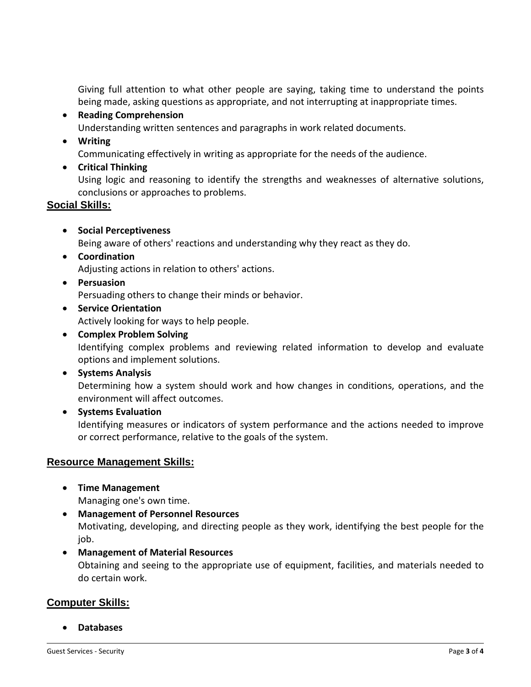Giving full attention to what other people are saying, taking time to understand the points being made, asking questions as appropriate, and not interrupting at inappropriate times.

• **Reading Comprehension**

Understanding written sentences and paragraphs in work related documents.

• **Writing**

Communicating effectively in writing as appropriate for the needs of the audience.

• **Critical Thinking**

Using logic and reasoning to identify the strengths and weaknesses of alternative solutions, conclusions or approaches to problems.

# **Social Skills:**

• **Social Perceptiveness**

Being aware of others' reactions and understanding why they react as they do.

- **Coordination** Adjusting actions in relation to others' actions.
- **Persuasion**

Persuading others to change their minds or behavior.

• **Service Orientation**

Actively looking for ways to help people.

• **Complex Problem Solving**

Identifying complex problems and reviewing related information to develop and evaluate options and implement solutions.

• **Systems Analysis**

Determining how a system should work and how changes in conditions, operations, and the environment will affect outcomes.

• **Systems Evaluation**

Identifying measures or indicators of system performance and the actions needed to improve or correct performance, relative to the goals of the system.

### **Resource Management Skills:**

• **Time Management**

Managing one's own time.

- **Management of Personnel Resources** Motivating, developing, and directing people as they work, identifying the best people for the job.
- **Management of Material Resources**

Obtaining and seeing to the appropriate use of equipment, facilities, and materials needed to do certain work.

# **Computer Skills:**

• **Databases**